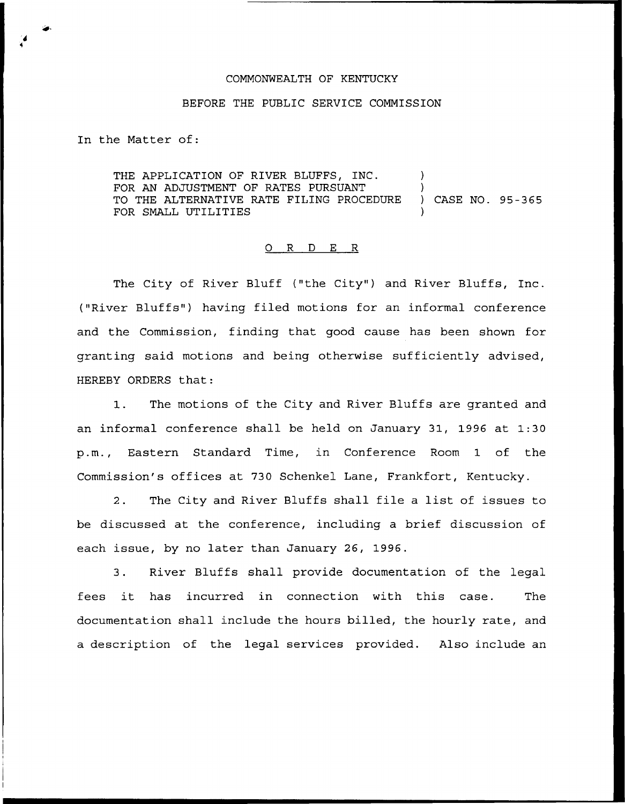## COMMONWEALTH OF KENTUCKY

## BEFORE THE PUBLIC SERVICE COMMISSION

In the Matter of:

THE APPLICATION OF RIVER BLUFFS, INC. FOR AN ADJUSTMENT OF RATES PURSUANT )<br>TO THE ALTERNATIVE RATE FILING PROCEDURE ) CASE NO. 95-365 TO THE ALTERNATIVE RATE FILING PROCEDURE FOR SMALL UTILITIES

## 0 R <sup>D</sup> E R

The City of River Bluff ("the City") and River Bluffs, Inc. ("River Bluffs" ) having filed motions for an informal conference and the Commission, finding that good cause has been shown for granting said motions and being otherwise sufficiently advised, HEREBY ORDERS that:

1. The motions of the City and River Bluffs are granted and an informal conference shall be held on January 31, 1996 at 1:30 p.m., Eastern Standard Time, in Conference Room 1 of the Commission's offices at 730 Schenkel Lane, Frankfort, Kentucky.

2. The City and River Bluffs shall file <sup>a</sup> list of issues to be discussed at the conference, including a brief discussion of each issue, by no later than January 26, 1996.

3. River Bluffs shall provide documentation of the legal fees it has incurred in connection with this case. The documentation shall include the hours billed, the hourly rate, and a description of the legal services provided. Also include an